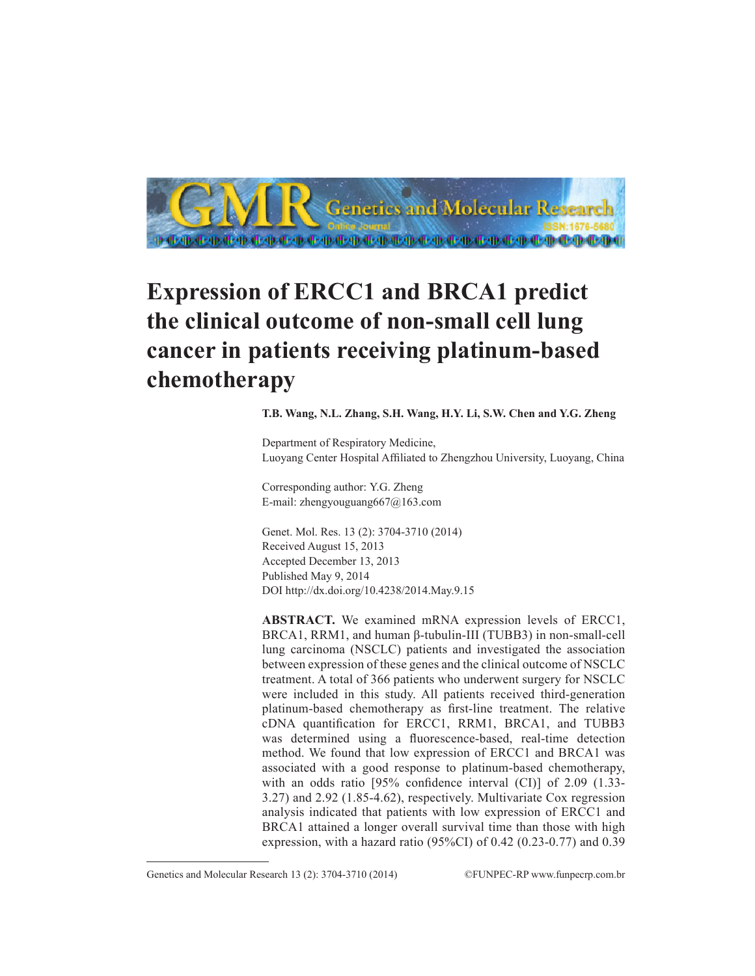

## **Expression of ERCC1 and BRCA1 predict the clinical outcome of non-small cell lung cancer in patients receiving platinum-based chemotherapy**

**T.B. Wang, N.L. Zhang, S.H. Wang, H.Y. Li, S.W. Chen and Y.G. Zheng**

Department of Respiratory Medicine, Luoyang Center Hospital Affiliated to Zhengzhou University, Luoyang, China

Corresponding author: Y.G. Zheng E-mail: zhengyouguang667@163.com

Genet. Mol. Res. 13 (2): 3704-3710 (2014) Received August 15, 2013 Accepted December 13, 2013 Published May 9, 2014 DOI http://dx.doi.org/10.4238/2014.May.9.15

**ABSTRACT.** We examined mRNA expression levels of ERCC1, BRCA1, RRM1, and human β-tubulin-III (TUBB3) in non-small-cell lung carcinoma (NSCLC) patients and investigated the association between expression of these genes and the clinical outcome of NSCLC treatment. A total of 366 patients who underwent surgery for NSCLC were included in this study. All patients received third-generation platinum-based chemotherapy as first-line treatment. The relative cDNA quantification for ERCC1, RRM1, BRCA1, and TUBB3 was determined using a fluorescence-based, real-time detection method. We found that low expression of ERCC1 and BRCA1 was associated with a good response to platinum-based chemotherapy, with an odds ratio [95% confidence interval (CI)] of 2.09 (1.33-3.27) and 2.92 (1.85-4.62), respectively. Multivariate Cox regression analysis indicated that patients with low expression of ERCC1 and BRCA1 attained a longer overall survival time than those with high expression, with a hazard ratio (95%CI) of 0.42 (0.23-0.77) and 0.39

Genetics and Molecular Research 13 (2): 3704-3710 (2014) ©FUNPEC-RP www.funpecrp.com.br